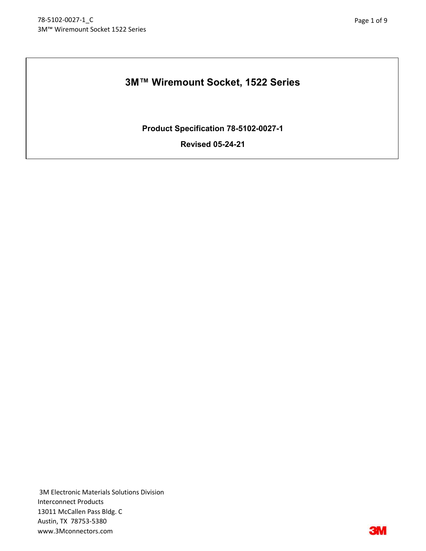# 3M™ Wiremount Socket, 1522 Series

Product Specification 78-5102-0027-1

Revised 05-24-21

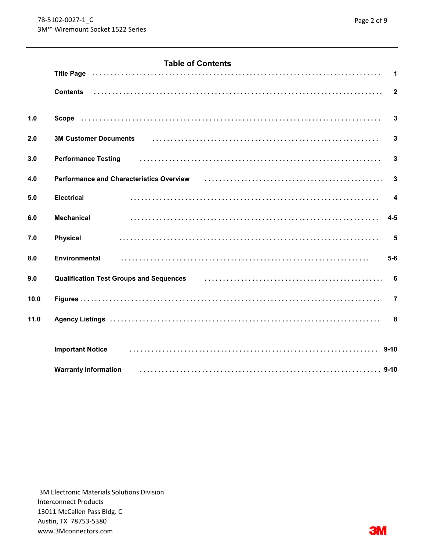# **Table of Contents**

|      |                                                                                                                                                                        | $\overline{\mathbf{1}}$ |
|------|------------------------------------------------------------------------------------------------------------------------------------------------------------------------|-------------------------|
|      | <b>Contents</b>                                                                                                                                                        |                         |
| 1.0  |                                                                                                                                                                        | $\overline{\mathbf{3}}$ |
| 2.0  | 3M Customer Documents (and according to the control of the control of the control of the customer Documents)                                                           | $\mathbf{3}$            |
| 3.0  | Performance Testing (and according of the contract of the contract of the contract of the Performance Testing                                                          | $\overline{\mathbf{3}}$ |
| 4.0  | Performance and Characteristics Overview (example resonance resonance and Characteristics overview of the resonance of the resonance and $\mathbf{C}$                  | $\overline{\mathbf{3}}$ |
| 5.0  | <b>Electrical</b>                                                                                                                                                      | $\overline{4}$          |
| 6.0  | <b>Mechanical</b>                                                                                                                                                      | $4-5$                   |
| 7.0  | <b>Physical</b>                                                                                                                                                        | 5                       |
| 8.0  | <b>Environmental</b>                                                                                                                                                   | $5-6$                   |
| 9.0  | Qualification Test Groups and Sequences <b>container the Contract of Cualification Test Groups and Sequences</b> contains the container of the Cualitication Test of 6 |                         |
| 10.0 |                                                                                                                                                                        | $\overline{7}$          |
| 11.0 |                                                                                                                                                                        |                         |
|      |                                                                                                                                                                        |                         |
|      | <b>Important Notice</b>                                                                                                                                                |                         |
|      | <b>Warranty Information</b>                                                                                                                                            |                         |

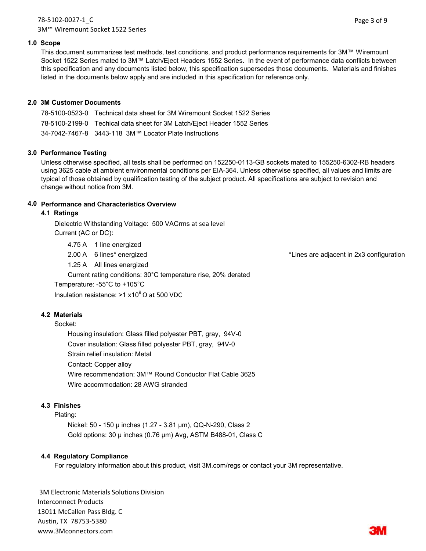## 78-5102-0027-1\_C 3M™ Wiremount Socket 1522 Series

#### 1.0 Scope

This document summarizes test methods, test conditions, and product performance requirements for 3M™ Wiremount Socket 1522 Series mated to 3M™ Latch/Eject Headers 1552 Series. In the event of performance data conflicts between this specification and any documents listed below, this specification supersedes those documents. Materials and finishes listed in the documents below apply and are included in this specification for reference only.

#### 2.0 3M Customer Documents

| 78-5100-0523-0 Technical data sheet for 3M Wiremount Socket 1522 Series  |
|--------------------------------------------------------------------------|
| 78-5100-2199-0 Techical data sheet for 3M Latch/Eject Header 1552 Series |
| 34-7042-7467-8 3443-118 3M™ Locator Plate Instructions                   |

#### 3.0 Performance Testing

Unless otherwise specified, all tests shall be performed on 152250-0113-GB sockets mated to 155250-6302-RB headers using 3625 cable at ambient environmental conditions per EIA-364. Unless otherwise specified, all values and limits are typical of those obtained by qualification testing of the subject product. All specifications are subject to revision and change without notice from 3M.

## 4.0 Performance and Characteristics Overview

#### 4.1 Ratings

Dielectric Withstanding Voltage: 500 VACrms at sea level Current (AC or DC):

4.75 A 1 line energized

2.00 A 6 lines\* energized \*Lines are adjacent in 2x3 configuration

1.25 A All lines energized

Current rating conditions: 30°C temperature rise, 20% derated

Temperature: -55°C to +105°C

Insulation resistance: >1 x10<sup>9</sup> Ω at 500 VDC

#### 4.2 Materials

Socket:

Housing insulation: Glass filled polyester PBT, gray, 94V-0 Cover insulation: Glass filled polyester PBT, gray, 94V-0 Strain relief insulation: Metal Contact: Copper alloy Wire recommendation: 3M™ Round Conductor Flat Cable 3625 Wire accommodation: 28 AWG stranded

#### 4.3 Finishes

#### Plating:

Nickel: 50 - 150 µ inches (1.27 - 3.81 µm), QQ-N-290, Class 2 Gold options: 30 µ inches (0.76 µm) Avg, ASTM B488-01, Class C

#### 4.4 Regulatory Compliance

For regulatory information about this product, visit 3M.com/regs or contact your 3M representative.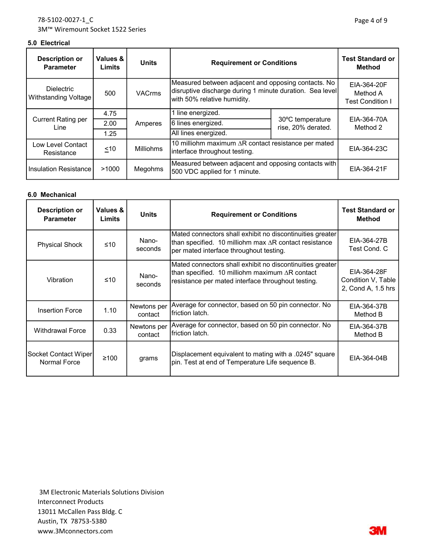| <b>Description or</b><br><b>Parameter</b> | Values &<br>Limits | <b>Units</b>     | <b>Requirement or Conditions</b>                                                                                                               | <b>Test Standard or</b><br><b>Method</b> |                         |  |                                                    |
|-------------------------------------------|--------------------|------------------|------------------------------------------------------------------------------------------------------------------------------------------------|------------------------------------------|-------------------------|--|----------------------------------------------------|
| <b>Dielectric</b><br>Withstanding Voltage | 500                | <b>VACrms</b>    | Measured between adjacent and opposing contacts. No<br>disruptive discharge during 1 minute duration. Sea level<br>with 50% relative humidity. |                                          |                         |  | EIA-364-20F<br>Method A<br><b>Test Condition I</b> |
|                                           | 4.75               |                  | line energized.                                                                                                                                |                                          |                         |  |                                                    |
| <b>Current Rating per</b><br>Line         | 2.00               | Amperes          | 6 lines energized.                                                                                                                             | 30°C temperature<br>rise, 20% derated.   | EIA-364-70A<br>Method 2 |  |                                                    |
|                                           | 1.25               |                  | All lines energized.                                                                                                                           |                                          |                         |  |                                                    |
| Low Level Contact<br>Resistance           | ~10                | <b>Milliohms</b> | 10 milliohm maximum $\Delta R$ contact resistance per mated<br>interface throughout testing.                                                   |                                          | EIA-364-23C             |  |                                                    |
| Insulation Resistance                     | >1000              | Megohms          | Measured between adjacent and opposing contacts with<br>500 VDC applied for 1 minute.                                                          |                                          | EIA-364-21F             |  |                                                    |

#### 6.0 Mechanical

| <b>Description or</b><br><b>Parameter</b>                                                                                             | Values &<br>Limits                                                                                                                                                                                     | <b>Units</b>                                         | <b>Requirement or Conditions</b>                                                                           | <b>Test Standard or</b><br><b>Method</b> |
|---------------------------------------------------------------------------------------------------------------------------------------|--------------------------------------------------------------------------------------------------------------------------------------------------------------------------------------------------------|------------------------------------------------------|------------------------------------------------------------------------------------------------------------|------------------------------------------|
| <b>Physical Shock</b>                                                                                                                 | Mated connectors shall exhibit no discontinuities greater<br>Nano-<br>than specified. 10 milliohm max $\Delta R$ contact resistance<br>$\leq 10$<br>seconds<br>per mated interface throughout testing. |                                                      | EIA-364-27B<br>Test Cond. C                                                                                |                                          |
| Vibration                                                                                                                             | Mated connectors shall exhibit no discontinuities greater<br>than specified. 10 milliohm maximum $\Delta R$ contact<br>Nano-<br>≤10<br>resistance per mated interface throughout testing.<br>seconds   |                                                      | EIA-364-28F<br>Condition V, Table<br>2, Cond A, 1.5 hrs                                                    |                                          |
| Newtons per<br>1.10<br><b>Insertion Force</b><br>Ifriction latch.<br>contact                                                          |                                                                                                                                                                                                        | Average for connector, based on 50 pin connector. No | EIA-364-37B<br>Method B                                                                                    |                                          |
| Average for connector, based on 50 pin connector. No<br>Newtons per<br>0.33<br><b>Withdrawal Force</b><br>Ifriction latch.<br>contact |                                                                                                                                                                                                        | EIA-364-37B<br>Method B                              |                                                                                                            |                                          |
| Socket Contact Wiper<br>Normal Force                                                                                                  | $≥100$                                                                                                                                                                                                 | grams                                                | Displacement equivalent to mating with a .0245" square<br>pin. Test at end of Temperature Life sequence B. | EIA-364-04B                              |

 3M Electronic Materials Solutions Division Interconnect Products 13011 McCallen Pass Bldg. C Austin, TX 78753-5380 www.3Mconnectors.com

**3M**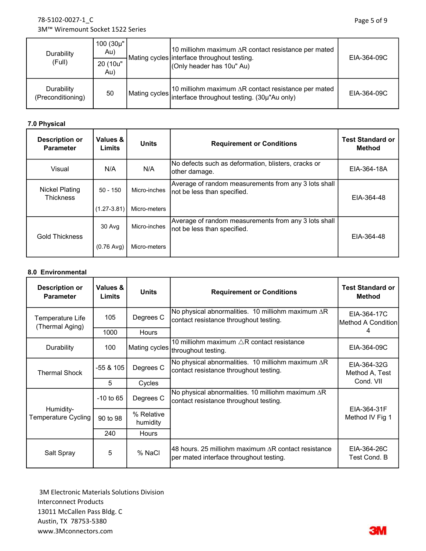# 78-5102-0027-1\_C 3M™ Wiremount Socket 1522 Series

| Durability<br>(Full)            | $100(30\mu"$<br>Au)<br>20 (10u"<br>Au) | 10 milliohm maximum ∆R contact resistance per mated<br>Mating cycles interface throughout testing.<br>(Only header has 10u" Au)              | EIA-364-09C |
|---------------------------------|----------------------------------------|----------------------------------------------------------------------------------------------------------------------------------------------|-------------|
| Durability<br>(Preconditioning) | 50                                     | 10 milliohm maximum $\Delta R$ contact resistance per mated<br>Mating cycles it will contain the interface throughout testing. (30µ"Au only) | EIA-364-09C |

# 7.0 Physical

| <b>Description or</b><br><b>Parameter</b> | Values &<br>Limits   | <b>Units</b> | <b>Requirement or Conditions</b>                                                    | <b>Test Standard or</b><br>Method |
|-------------------------------------------|----------------------|--------------|-------------------------------------------------------------------------------------|-----------------------------------|
| Visual                                    | N/A                  | N/A          | No defects such as deformation, blisters, cracks or<br>other damage.                | EIA-364-18A                       |
| <b>Nickel Plating</b><br><b>Thickness</b> | $50 - 150$           | Micro-inches | Average of random measurements from any 3 lots shall<br>not be less than specified. | EIA-364-48                        |
|                                           | $(1.27 - 3.81)$      | Micro-meters |                                                                                     |                                   |
| <b>Gold Thickness</b>                     | 30 Avg               | Micro-inches | Average of random measurements from any 3 lots shall<br>not be less than specified. | EIA-364-48                        |
|                                           | $(0.76 \text{ Avg})$ | Micro-meters |                                                                                     |                                   |

#### 8.0 Environmental

| <b>Description or</b><br><b>Parameter</b> | Values &<br><b>Limits</b> | <b>Units</b>           | <b>Requirement or Conditions</b>                                                                                                         | <b>Test Standard or</b><br><b>Method</b> |  |
|-------------------------------------------|---------------------------|------------------------|------------------------------------------------------------------------------------------------------------------------------------------|------------------------------------------|--|
| Temperature Life<br>(Thermal Aging)       | 105                       | Degrees C              | No physical abnormalities. 10 milliohm maximum $\Delta$ R<br>EIA-364-17C<br>contact resistance throughout testing.<br>Method A Condition |                                          |  |
|                                           | 1000                      | <b>Hours</b>           |                                                                                                                                          | 4                                        |  |
| Durability                                | 100                       |                        | 10 milliohm maximum $\triangle$ R contact resistance<br> Mating cycles  <sub>throughout testing.</sub>                                   | EIA-364-09C                              |  |
| <b>Thermal Shock</b>                      | -55 & 105                 | Degrees C              | No physical abnormalities. 10 milliohm maximum $\Delta R$<br>contact resistance throughout testing.                                      | EIA-364-32G<br>Method A, Test            |  |
|                                           | 5                         | Cycles                 |                                                                                                                                          | Cond. VII                                |  |
|                                           | $-10$ to 65               | Degrees C              | No physical abnormalities. 10 milliohm maximum $\Delta$ R<br>contact resistance throughout testing.                                      | EIA-364-31F                              |  |
| Humidity-<br>Temperature Cycling          | 90 to 98                  | % Relative<br>humidity |                                                                                                                                          | Method IV Fig 1                          |  |
|                                           | 240                       | <b>Hours</b>           |                                                                                                                                          |                                          |  |
| Salt Spray                                | 5                         | % NaCl                 | 48 hours. 25 milliohm maximum ∆R contact resistance<br>per mated interface throughout testing.                                           | EIA-364-26C<br>Test Cond, B              |  |

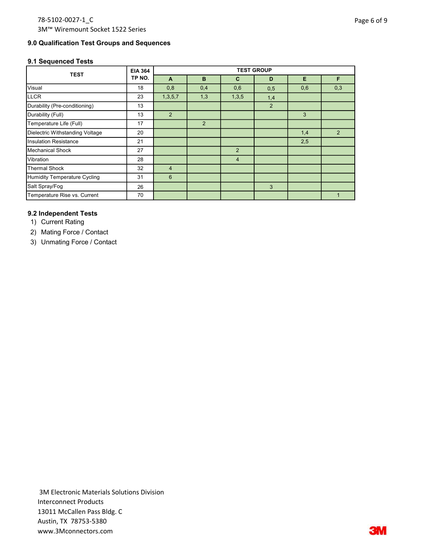#### 9.0 Qualification Test Groups and Sequences

#### 9.1 Sequenced Tests

| <b>TEST</b>                     | <b>EIA 364</b> | <b>TEST GROUP</b> |                |                |                |     |     |
|---------------------------------|----------------|-------------------|----------------|----------------|----------------|-----|-----|
|                                 | TP NO.         | $\overline{A}$    | B              | C              | D              | Е   | F   |
| Visual                          | 18             | 0,8               | 0,4            | 0,6            | 0,5            | 0,6 | 0,3 |
| <b>LLCR</b>                     | 23             | 1,3,5,7           | 1,3            | 1,3,5          | 1,4            |     |     |
| Durability (Pre-conditioning)   | 13             |                   |                |                | $\overline{2}$ |     |     |
| Durability (Full)               | 13             | 2                 |                |                |                | 3   |     |
| Temperature Life (Full)         | 17             |                   | $\overline{2}$ |                |                |     |     |
| Dielectric Withstanding Voltage | 20             |                   |                |                |                | 1,4 | 2   |
| <b>Insulation Resistance</b>    | 21             |                   |                |                |                | 2,5 |     |
| <b>Mechanical Shock</b>         | 27             |                   |                | $\overline{2}$ |                |     |     |
| Vibration                       | 28             |                   |                | $\overline{4}$ |                |     |     |
| Thermal Shock                   | 32             | $\overline{4}$    |                |                |                |     |     |
| Humidity Temperature Cycling    | 31             | 6                 |                |                |                |     |     |
| Salt Spray/Fog                  | 26             |                   |                |                | 3              |     |     |
| Temperature Rise vs. Current    | 70             |                   |                |                |                |     |     |

#### 9.2 Independent Tests

1) Current Rating

2) Mating Force / Contact

3) Unmating Force / Contact

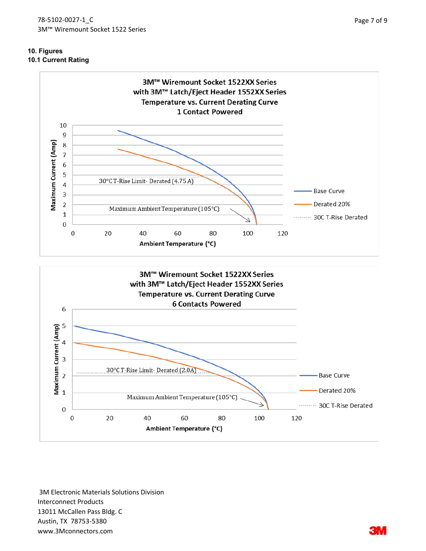## 10. Figures 10.1 Current Rating

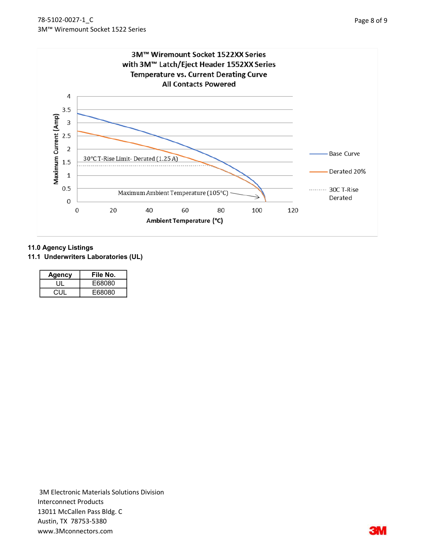

#### 11.0 Agency Listings

11.1 Underwriters Laboratories (UL)

| Agency | File No. |
|--------|----------|
|        | E68080   |
| CUL    | E68080   |